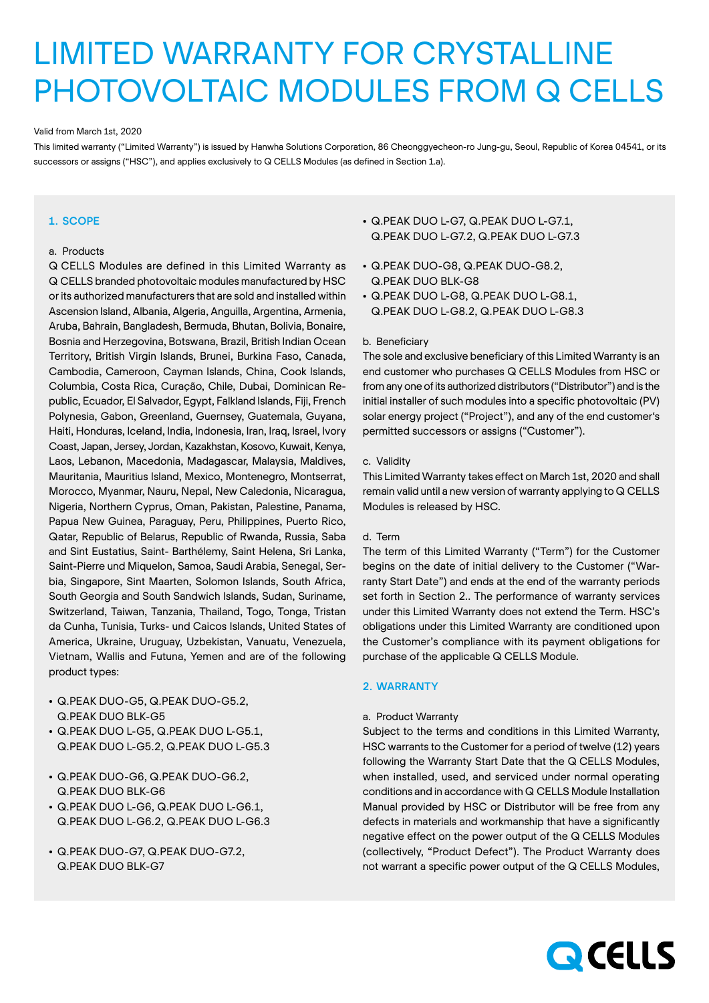# LIMITED WARRANTY FOR CRYSTALLINE PHOTOVOLTAIC MODULES FROM Q CELLS

#### Valid from March 1st, 2020

This limited warranty ("Limited Warranty") is issued by Hanwha Solutions Corporation, 86 Cheonggyecheon-ro Jung-gu, Seoul, Republic of Korea 04541, or its successors or assigns ("HSC"), and applies exclusively to Q CELLS Modules (as defined in Section 1.a).

# 1. SCOPE

## a. Products

Q CELLS Modules are defined in this Limited Warranty as Q CELLS branded photovoltaic modules manufactured by HSC or its authorized manufacturers that are sold and installed within Ascension Island, Albania, Algeria, Anguilla, Argentina, Armenia, Aruba, Bahrain, Bangladesh, Bermuda, Bhutan, Bolivia, Bonaire, Bosnia and Herzegovina, Botswana, Brazil, British Indian Ocean Territory, British Virgin Islands, Brunei, Burkina Faso, Canada, Cambodia, Cameroon, Cayman Islands, China, Cook Islands, Columbia, Costa Rica, Curação, Chile, Dubai, Dominican Republic, Ecuador, El Salvador, Egypt, Falkland Islands, Fiji, French Polynesia, Gabon, Greenland, Guernsey, Guatemala, Guyana, Haiti, Honduras, Iceland, India, Indonesia, Iran, Iraq, Israel, Ivory Coast, Japan, Jersey, Jordan, Kazakhstan, Kosovo, Kuwait, Kenya, Laos, Lebanon, Macedonia, Madagascar, Malaysia, Maldives, Mauritania, Mauritius Island, Mexico, Montenegro, Montserrat, Morocco, Myanmar, Nauru, Nepal, New Caledonia, Nicaragua, Nigeria, Northern Cyprus, Oman, Pakistan, Palestine, Panama, Papua New Guinea, Paraguay, Peru, Philippines, Puerto Rico, Qatar, Republic of Belarus, Republic of Rwanda, Russia, Saba and Sint Eustatius, Saint- Barthélemy, Saint Helena, Sri Lanka, Saint-Pierre und Miquelon, Samoa, Saudi Arabia, Senegal, Serbia, Singapore, Sint Maarten, Solomon Islands, South Africa, South Georgia and South Sandwich Islands, Sudan, Suriname, Switzerland, Taiwan, Tanzania, Thailand, Togo, Tonga, Tristan da Cunha, Tunisia, Turks- und Caicos Islands, United States of America, Ukraine, Uruguay, Uzbekistan, Vanuatu, Venezuela, Vietnam, Wallis and Futuna, Yemen and are of the following product types:

- Q.PEAK DUO-G5, Q.PEAK DUO-G5.2, Q.PEAK DUO BLK-G5
- Q.PEAK DUO L-G5, Q.PEAK DUO L-G5.1, Q.PEAK DUO L-G5.2, Q.PEAK DUO L-G5.3
- Q.PEAK DUO-G6, Q.PEAK DUO-G6.2, Q.PEAK DUO BLK-G6
- Q.PEAK DUO L-G6, Q.PEAK DUO L-G6.1, Q.PEAK DUO L-G6.2, Q.PEAK DUO L-G6.3
- Q.PEAK DUO-G7, Q.PEAK DUO-G7.2, Q.PEAK DUO BLK-G7
- Q.PEAK DUO L-G7, Q.PEAK DUO L-G7.1, Q.PEAK DUO L-G7.2, Q.PEAK DUO L-G7.3
- Q.PEAK DUO-G8, Q.PEAK DUO-G8.2, Q.PEAK DUO BLK-G8
- Q.PEAK DUO L-G8, Q.PEAK DUO L-G8.1, Q.PEAK DUO L-G8.2, Q.PEAK DUO L-G8.3

# b. Beneficiary

The sole and exclusive beneficiary of this Limited Warranty is an end customer who purchases Q CELLS Modules from HSC or from any one of its authorized distributors ("Distributor") and is the initial installer of such modules into a specific photovoltaic (PV) solar energy project ("Project"), and any of the end customer's permitted successors or assigns ("Customer").

# c. Validity

This Limited Warranty takes effect on March 1st, 2020 and shall remain valid until a new version of warranty applying to Q CELLS Modules is released by HSC.

## d. Term

The term of this Limited Warranty ("Term") for the Customer begins on the date of initial delivery to the Customer ("Warranty Start Date") and ends at the end of the warranty periods set forth in Section 2.. The performance of warranty services under this Limited Warranty does not extend the Term. HSC's obligations under this Limited Warranty are conditioned upon the Customer's compliance with its payment obligations for purchase of the applicable Q CELLS Module.

# 2. WARRANTY

## a. Product Warranty

Subject to the terms and conditions in this Limited Warranty, HSC warrants to the Customer for a period of twelve (12) years following the Warranty Start Date that the Q CELLS Modules, when installed, used, and serviced under normal operating conditions and in accordance with Q CELLS Module Installation Manual provided by HSC or Distributor will be free from any defects in materials and workmanship that have a significantly negative effect on the power output of the Q CELLS Modules (collectively, "Product Defect"). The Product Warranty does not warrant a specific power output of the Q CELLS Modules,

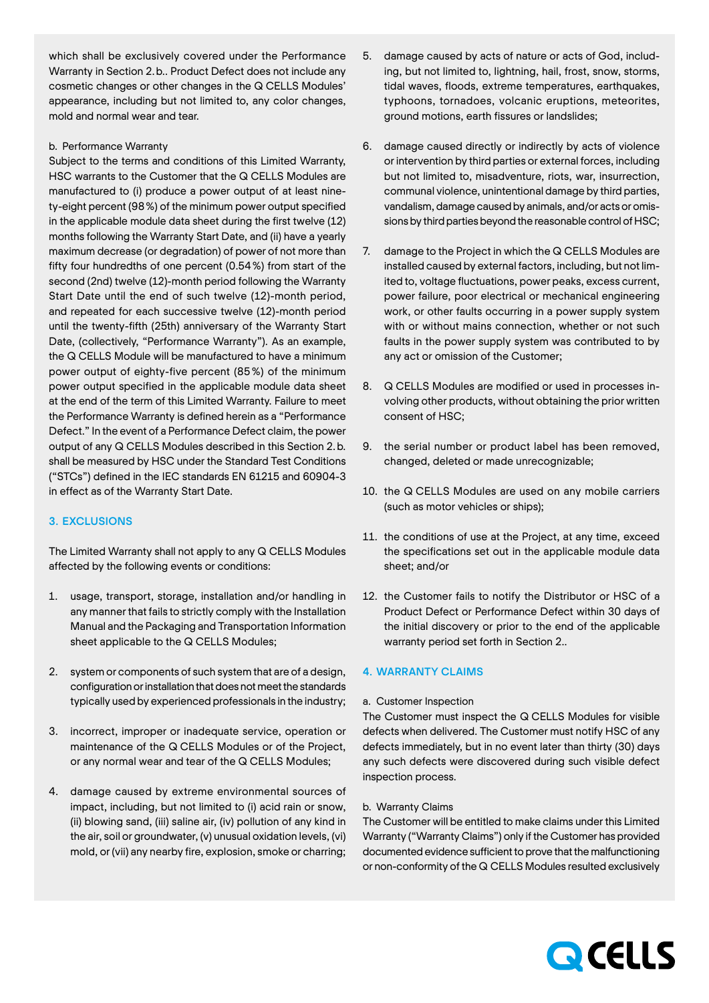which shall be exclusively covered under the Performance Warranty in Section 2.b.. Product Defect does not include any cosmetic changes or other changes in the Q CELLS Modules' appearance, including but not limited to, any color changes, mold and normal wear and tear.

# b. Performance Warranty

Subject to the terms and conditions of this Limited Warranty, HSC warrants to the Customer that the Q CELLS Modules are manufactured to (i) produce a power output of at least ninety-eight percent (98%) of the minimum power output specified in the applicable module data sheet during the first twelve (12) months following the Warranty Start Date, and (ii) have a yearly maximum decrease (or degradation) of power of not more than fifty four hundredths of one percent (0.54%) from start of the second (2nd) twelve (12)-month period following the Warranty Start Date until the end of such twelve (12)-month period, and repeated for each successive twelve (12)-month period until the twenty-fifth (25th) anniversary of the Warranty Start Date, (collectively, "Performance Warranty"). As an example, the Q CELLS Module will be manufactured to have a minimum power output of eighty-five percent (85%) of the minimum power output specified in the applicable module data sheet at the end of the term of this Limited Warranty. Failure to meet the Performance Warranty is defined herein as a "Performance Defect." In the event of a Performance Defect claim, the power output of any Q CELLS Modules described in this Section 2.b. shall be measured by HSC under the Standard Test Conditions ("STCs") defined in the IEC standards EN 61215 and 60904-3 in effect as of the Warranty Start Date.

# 3. EXCLUSIONS

The Limited Warranty shall not apply to any Q CELLS Modules affected by the following events or conditions:

- 1. usage, transport, storage, installation and/or handling in any manner that fails to strictly comply with the Installation Manual and the Packaging and Transportation Information sheet applicable to the Q CELLS Modules;
- 2. system or components of such system that are of a design, configuration or installation that does not meet the standards typically used by experienced professionals in the industry;
- 3. incorrect, improper or inadequate service, operation or maintenance of the Q CELLS Modules or of the Project, or any normal wear and tear of the Q CELLS Modules;
- 4. damage caused by extreme environmental sources of impact, including, but not limited to (i) acid rain or snow, (ii) blowing sand, (iii) saline air, (iv) pollution of any kind in the air, soil or groundwater, (v) unusual oxidation levels, (vi) mold, or (vii) any nearby fire, explosion, smoke or charring;
- 5. damage caused by acts of nature or acts of God, including, but not limited to, lightning, hail, frost, snow, storms, tidal waves, floods, extreme temperatures, earthquakes, typhoons, tornadoes, volcanic eruptions, meteorites, ground motions, earth fissures or landslides;
- 6. damage caused directly or indirectly by acts of violence or intervention by third parties or external forces, including but not limited to, misadventure, riots, war, insurrection, communal violence, unintentional damage by third parties, vandalism, damage caused by animals, and/or acts or omissions by third parties beyond the reasonable control of HSC;
- 7. damage to the Project in which the Q CELLS Modules are installed caused by external factors, including, but not limited to, voltage fluctuations, power peaks, excess current, power failure, poor electrical or mechanical engineering work, or other faults occurring in a power supply system with or without mains connection, whether or not such faults in the power supply system was contributed to by any act or omission of the Customer;
- 8. Q CELLS Modules are modified or used in processes involving other products, without obtaining the prior written consent of HSC;
- 9. the serial number or product label has been removed, changed, deleted or made unrecognizable;
- 10. the Q CELLS Modules are used on any mobile carriers (such as motor vehicles or ships);
- 11. the conditions of use at the Project, at any time, exceed the specifications set out in the applicable module data sheet; and/or
- 12. the Customer fails to notify the Distributor or HSC of a Product Defect or Performance Defect within 30 days of the initial discovery or prior to the end of the applicable warranty period set forth in Section 2..

## 4. WARRANTY CLAIMS

### a. Customer Inspection

The Customer must inspect the Q CELLS Modules for visible defects when delivered. The Customer must notify HSC of any defects immediately, but in no event later than thirty (30) days any such defects were discovered during such visible defect inspection process.

#### b. Warranty Claims

The Customer will be entitled to make claims under this Limited Warranty ("Warranty Claims") only if the Customer has provided documented evidence sufficient to prove that the malfunctioning or non-conformity of the Q CELLS Modules resulted exclusively

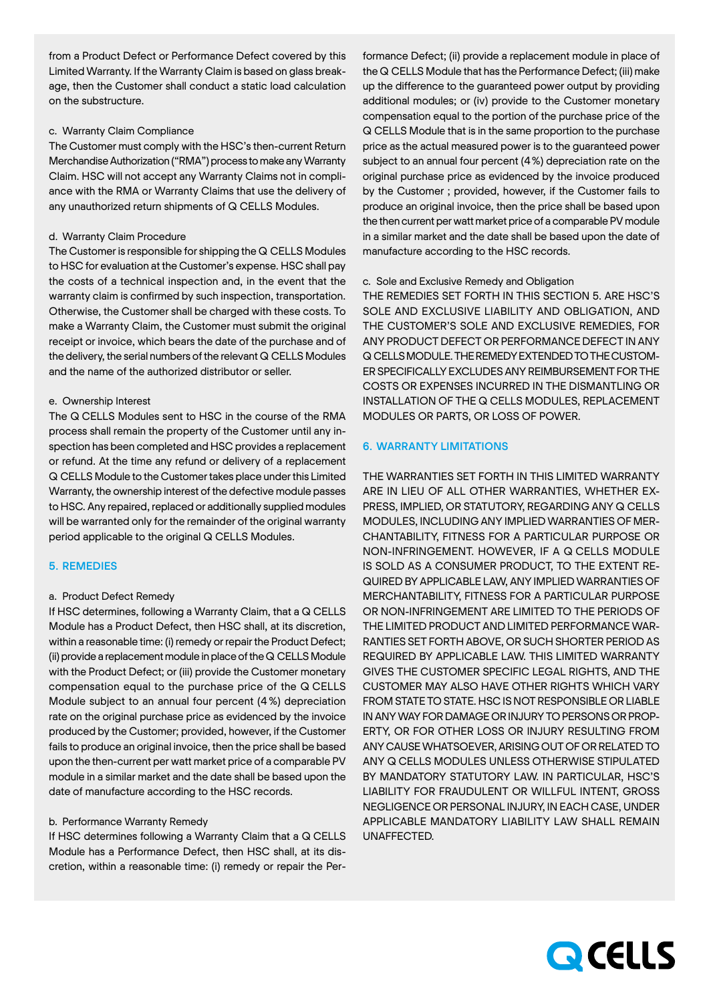from a Product Defect or Performance Defect covered by this Limited Warranty. If the Warranty Claim is based on glass breakage, then the Customer shall conduct a static load calculation on the substructure.

## c. Warranty Claim Compliance

The Customer must comply with the HSC's then-current Return Merchandise Authorization ("RMA") process to make any Warranty Claim. HSC will not accept any Warranty Claims not in compliance with the RMA or Warranty Claims that use the delivery of any unauthorized return shipments of Q CELLS Modules.

#### d. Warranty Claim Procedure

The Customer is responsible for shipping the Q CELLS Modules to HSC for evaluation at the Customer's expense. HSC shall pay the costs of a technical inspection and, in the event that the warranty claim is confirmed by such inspection, transportation. Otherwise, the Customer shall be charged with these costs. To make a Warranty Claim, the Customer must submit the original receipt or invoice, which bears the date of the purchase and of the delivery, the serial numbers of the relevant Q CELLS Modules and the name of the authorized distributor or seller.

## e. Ownership Interest

The Q CELLS Modules sent to HSC in the course of the RMA process shall remain the property of the Customer until any inspection has been completed and HSC provides a replacement or refund. At the time any refund or delivery of a replacement Q CELLS Module to the Customer takes place under this Limited Warranty, the ownership interest of the defective module passes to HSC. Any repaired, replaced or additionally supplied modules will be warranted only for the remainder of the original warranty period applicable to the original Q CELLS Modules.

## 5. REMEDIES

#### a. Product Defect Remedy

If HSC determines, following a Warranty Claim, that a Q CELLS Module has a Product Defect, then HSC shall, at its discretion, within a reasonable time: (i) remedy or repair the Product Defect; (ii) provide a replacement module in place of the Q CELLS Module with the Product Defect; or (iii) provide the Customer monetary compensation equal to the purchase price of the Q CELLS Module subject to an annual four percent (4%) depreciation rate on the original purchase price as evidenced by the invoice produced by the Customer; provided, however, if the Customer fails to produce an original invoice, then the price shall be based upon the then-current per watt market price of a comparable PV module in a similar market and the date shall be based upon the date of manufacture according to the HSC records.

#### b. Performance Warranty Remedy

If HSC determines following a Warranty Claim that a Q CELLS Module has a Performance Defect, then HSC shall, at its discretion, within a reasonable time: (i) remedy or repair the Per-

formance Defect; (ii) provide a replacement module in place of the Q CELLS Module that has the Performance Defect; (iii) make up the difference to the guaranteed power output by providing additional modules; or (iv) provide to the Customer monetary compensation equal to the portion of the purchase price of the Q CELLS Module that is in the same proportion to the purchase price as the actual measured power is to the guaranteed power subject to an annual four percent (4%) depreciation rate on the original purchase price as evidenced by the invoice produced by the Customer ; provided, however, if the Customer fails to produce an original invoice, then the price shall be based upon the then current per watt market price of a comparable PV module in a similar market and the date shall be based upon the date of manufacture according to the HSC records.

## c. Sole and Exclusive Remedy and Obligation

THE REMEDIES SET FORTH IN THIS SECTION 5. ARE HSC'S SOLE AND EXCLUSIVE LIABILITY AND OBLIGATION, AND THE CUSTOMER'S SOLE AND EXCLUSIVE REMEDIES, FOR ANY PRODUCT DEFECT OR PERFORMANCE DEFECT IN ANY Q CELLS MODULE. THE REMEDY EXTENDED TO THE CUSTOM-ER SPECIFICALLY EXCLUDES ANY REIMBURSEMENT FOR THE COSTS OR EXPENSES INCURRED IN THE DISMANTLING OR INSTALLATION OF THE Q CELLS MODULES, REPLACEMENT MODULES OR PARTS, OR LOSS OF POWER.

#### 6. WARRANTY LIMITATIONS

THE WARRANTIES SET FORTH IN THIS LIMITED WARRANTY ARE IN LIEU OF ALL OTHER WARRANTIES, WHETHER EX-PRESS, IMPLIED, OR STATUTORY, REGARDING ANY Q CELLS MODULES, INCLUDING ANY IMPLIED WARRANTIES OF MER-CHANTABILITY, FITNESS FOR A PARTICULAR PURPOSE OR NON-INFRINGEMENT. HOWEVER, IF A Q CELLS MODULE IS SOLD AS A CONSUMER PRODUCT, TO THE EXTENT RE-QUIRED BY APPLICABLE LAW, ANY IMPLIED WARRANTIES OF MERCHANTABILITY, FITNESS FOR A PARTICULAR PURPOSE OR NON-INFRINGEMENT ARE LIMITED TO THE PERIODS OF THE LIMITED PRODUCT AND LIMITED PERFORMANCE WAR-RANTIES SET FORTH ABOVE, OR SUCH SHORTER PERIOD AS REQUIRED BY APPLICABLE LAW. THIS LIMITED WARRANTY GIVES THE CUSTOMER SPECIFIC LEGAL RIGHTS, AND THE CUSTOMER MAY ALSO HAVE OTHER RIGHTS WHICH VARY FROM STATE TO STATE. HSC IS NOT RESPONSIBLE OR LIABLE IN ANY WAY FOR DAMAGE OR INJURY TO PERSONS OR PROP-ERTY, OR FOR OTHER LOSS OR INJURY RESULTING FROM ANY CAUSE WHATSOEVER, ARISING OUT OF OR RELATED TO ANY Q CELLS MODULES UNLESS OTHERWISE STIPULATED BY MANDATORY STATUTORY LAW. IN PARTICULAR, HSC'S LIABILITY FOR FRAUDULENT OR WILLFUL INTENT, GROSS NEGLIGENCE OR PERSONAL INJURY, IN EACH CASE, UNDER APPLICABLE MANDATORY LIABILITY LAW SHALL REMAIN UNAFFECTED.